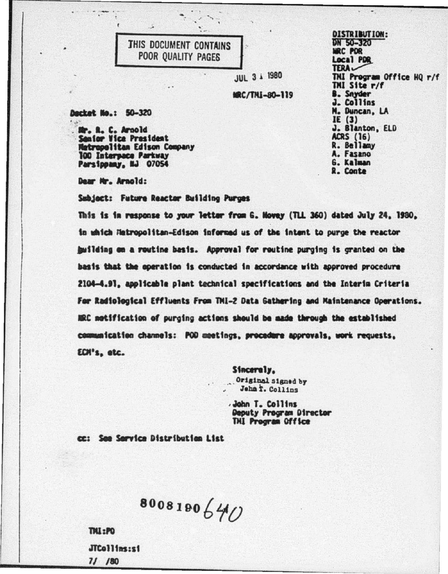## THIS DOCUMENT CONTAINS POOR QUALITY PAGES

**JUL 3 i 1980** 

MRC/TNI-80-119

Decket No.: 50-320

St. R. C. Arnold **Senior Vice President** etropolitas Edison Company 100 Interpace Parkway Parsippany, NJ 07054

Dear Mr. Arnold:

Subject: Future Reactor Building Purges

This is in response to your letter from G. Hovey (TLL 360) dated July 24, 1980, in which Hatropolitan-Edison informed us of the intent to purge the reactor building on a routine basis. Approval for routine purging is granted on the basis that the operation is conducted in accordance with approved procedure 2104-4.91, applicable plant technical specifications and the Interim Criteria For Radiological Effluents From TMI-2 Data Gathering and Maintenance Operations. HRC motification of purging actions should be made through the established communication channels: POD meetings, procedure approvals, work requests, ECH's, etc.

> Sincerely. Original signed by Jehn T. Collins

John T. Collins Deputy Program Director THI Program Office

cc: See Service Distribution List

8008190640

**TMI:PO** JTCollins:si  $71/80$ 

**DISTRIBUTION:** DN 50-320 **MRC PDR** Local PDR **TERA** THI Program Office HQ r/f THI Site r/f **B.** Snyder J. Collins N. Duncan, LA IE $(3)$ J. Blanton, ELD **ACRS** (16) R. Bellamy A. Fasano G. Kalman R. Conte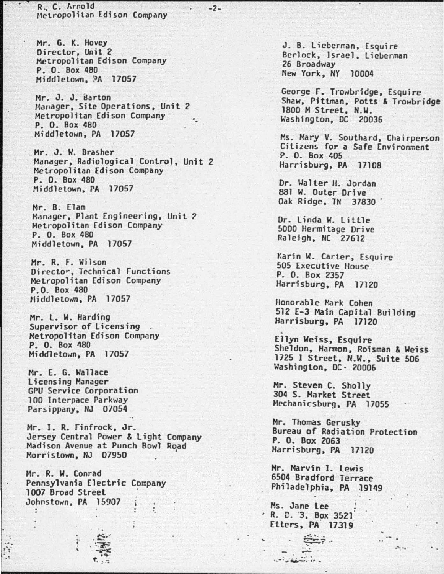R. c. Arnold Hetropolitan Edison Company

-2-

Mr. G. K. Hovey Director, Unit 2 Metropolitan Edison Company P. 0. Box 480 Middletown, <sup>9</sup>A 17057

Mr. J. J. Barton Hanager, Site Operations, Unit *2*  Metropolitan Edison Company P. 0. Box 480 Middletown, PA 17057 ·.

Mr. J. W. Brasher Manager, Radiological Control, Unit 2 Metropolitan Edison Company P. 0. Box 480 Middletown, PA 17057

Mr. B. Elam Manager, Plant Engineering, Unit 2 Hctropolitan Edison Company P. O. Box 480 Middletown, PA 17057

Mr. R. F. Wilson Directo~. Technical Functions Metropolitan Edison Company P.O. Box 480 Niddletown, PA 17057

Mr. L. W. Harding<br>Supervisor of Licensing .<br>Metropolitan Edison Company P. 0. Box 480 Middletown, PA 17057

Mr. E. G. Wallace licensing Manager GPU *Service* Corporation Parsippany, NJ 07054

Mr. I. R. Finfrock, Jr. Jersey Central Power & light Company Madison Avenue at Punch Bowl Road<br>Morristown, NJ 07950 Morristown, NJ 07950

·.

Mr. R. W. Conrad Pennsylvania Electric 1007 Broad Street Johnstown, PA 15907 .<br>.<br>.

> $\vdots$   $\ddots$  $\frac{1}{2}$ ~- *: -:*

l ... r ';"

J. B. Lieberman, Esquire Berlock, Israel, Lieberman 26 Broadway New York, NY 10004

George F. Trowbridge, Esquire Shaw, Pittman, Potts & Trowbridge 1800 M Street, N.W. Washington, DC 20036

Ms. Mary V. Southard, Chairperson Citizens for a Safe Environment P. 0. Box 405 Harrisburg, PA 17108

Dr. Walter H. Jordan 881 W. Outer Drive Oak Ridge, TN 37830 .

Dr. linda W. little 5000 Hermitage Drive Raleigh, NC 27612

Karin W. Carter, Esquire 505 Executive House P. 0. Box 2357 Harrisburg, PA 17120

Honorable Mark Cohen 512 £-3 Main Capital Building Harrisburg, PA 17120

Ellyn Weiss, Esquire Sheldon, Hanmon, Roisman & Weiss 1725 I Street, N.W., Suite 506 Washington, DC· 20006

Mr. Steven C. Sholly 304 S. Market Street Mechanicsburg, PA 17055

Mr. Thomas Gerusky Bureau of Radiation Protection P. 0. Box 2063 Harrisburg, PA 17120

. . ... ,.-· .,.-...-.. , .. ·"::··

Mr. Marvin I. lewis 6504 Bradford Terrace Philadelphia, PA 19149

Ms. Jane Lee . R. C. 3, Box 3521 Etters, PA. 17319

Sep.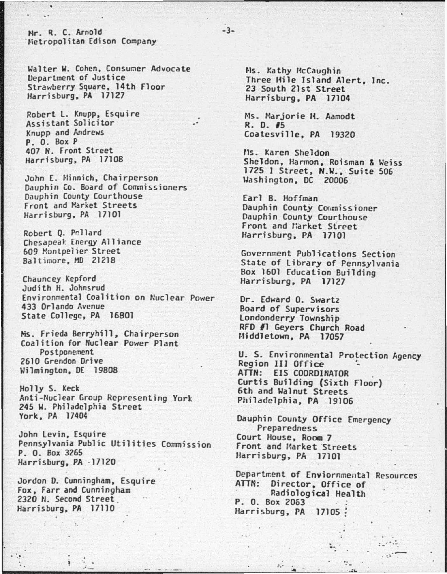Mr. R. C. Arnold Wetropolitan Edison Company

Walter W. Cohen, Consumer Advocate Department of Justice Strawberry Square, 14th Floor Harrisburg, PA 17127

Robert L. Knupp, Esquire Assistant Solicitor Knupp and Andrews P.O. Box P 407 N. Front Street Harrisburg, PA 17108

John E. Hinnich, Chairperson Dauphin Co. Board of Commissioners Dauphin County Courthouse Front and Market Streets Harrisburg, PA 17101

Robert Q. Pollard Chesapeak Energy Alliance 609 Montpelier Street Baltimore, MD 21218

Chauncey Kepford Judith H. Johnsrud Environmental Coalition on Nuclear Power 433 Orlando Avenue State College, PA 16801

Ms. Frieda Berryhill, Chairperson Coalition for Nuclear Power Plant Postponement 2610 Grendon Drive Wilmington, DE 19808

Holly S. Keck Anti-Nuclear Group Representing York 245 W. Philadelphia Street York, PA 17404

John Levin, Esquire Pennsylvania Public Utilities Commission P. O. Box 3265 Harrisburg, PA -17120

Jordon D. Cunningham, Esquire Fox, Farr and Cunningham 2320 N. Second Street Harrisburg, PA 17110

Ms. Kathy McCaughin Three Hile Island Alert, Inc. 23 South 21st Street Harrisburg, PA 17104

Ms. Marjorie H. Aamodt R. D. #5 Coatesville, PA 19320

Ms. Karen Sheldon Sheldon, Harmon, Roisman & Weiss 1725 1 Street, N.W., Suite 506 Washington, DC 20006

Earl B. Hoffman Dauphin County Commissioner Dauphin County Courthouse Front and Market Street Harrisburg, PA 17101

Government Publications Section State of Library of Pennsylvania Box 1601 Education Building Harrisburg, PA 17127

Dr. Edward O. Swartz Board of Supervisors Londonderry Township RFD #1 Geyers Church Road Middletown, PA 17057

U. S. Environmental Protection Agency Region III Office ATTN: EIS COORDINATOR Curtis Building (Sixth Floor) 6th and Walnut Streets Philadelphia, PA 19106

Dauphin County Office Emergency Preparedness Court House, Room 7 Front and Market Streets Harrisburg, PA 17101

 $5 -$ 

Department of Enviornmental Resources ATTN: Director, Office of Radiological Health P. O. Box 2063 Harrisburg, PA 17105 :

 $-3-$